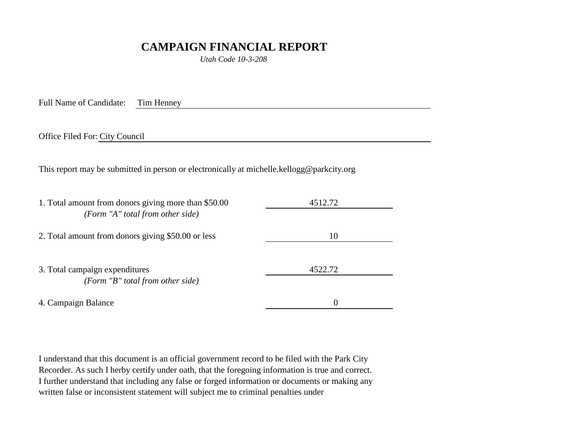## **CAMPAIGN FINANCIAL REPORT**

*Utah Code 10-3-208*

Full Name of Candidate: Tim Henney

Office Filed For: City Council

This report may be submitted in person or electronically at michelle.kellogg@parkcity.org

| 1. Total amount from donors giving more than \$50.00<br>(Form "A" total from other side) | 4512.72  |
|------------------------------------------------------------------------------------------|----------|
| 2. Total amount from donors giving \$50.00 or less                                       | 10       |
| 3. Total campaign expenditures<br>(Form "B" total from other side)                       | 4522.72  |
| 4. Campaign Balance                                                                      | $\theta$ |

I understand that this document is an official government record to be filed with the Park City Recorder. As such I herby certify under oath, that the foregoing information is true and correct. I further understand that including any false or forged information or documents or making any written false or inconsistent statement will subject me to criminal penalties under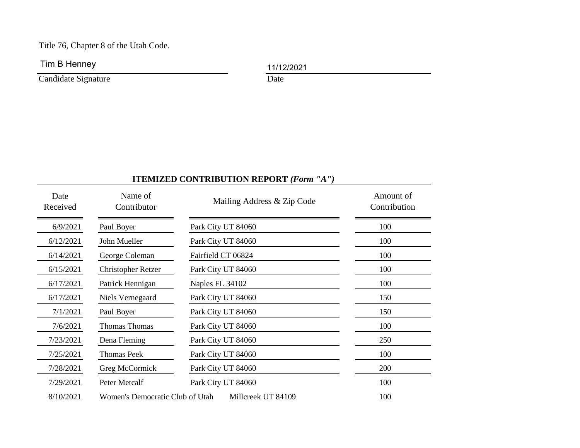Title 76, Chapter 8 of the Utah Code.

Tim B Henney 11/12/2021

Candidate Signature Date

## **ITEMIZED CONTRIBUTION REPORT** *(Form "A")*

| Date<br>Received | Name of<br>Contributor          | Mailing Address & Zip Code | Amount of<br>Contribution |
|------------------|---------------------------------|----------------------------|---------------------------|
| 6/9/2021         | Paul Boyer                      | Park City UT 84060         | 100                       |
| 6/12/2021        | John Mueller                    | Park City UT 84060         | 100                       |
| 6/14/2021        | George Coleman                  | Fairfield CT 06824         | 100                       |
| 6/15/2021        | <b>Christopher Retzer</b>       | Park City UT 84060         | 100                       |
| 6/17/2021        | Patrick Hennigan                | Naples FL 34102            | 100                       |
| 6/17/2021        | Niels Vernegaard                | Park City UT 84060         | 150                       |
| 7/1/2021         | Paul Boyer                      | Park City UT 84060         | 150                       |
| 7/6/2021         | <b>Thomas Thomas</b>            | Park City UT 84060         | 100                       |
| 7/23/2021        | Dena Fleming                    | Park City UT 84060         | 250                       |
| 7/25/2021        | <b>Thomas Peek</b>              | Park City UT 84060         | 100                       |
| 7/28/2021        | Greg McCormick                  | Park City UT 84060         | 200                       |
| 7/29/2021        | Peter Metcalf                   | Park City UT 84060         | 100                       |
| 8/10/2021        | Women's Democratic Club of Utah | Millcreek UT 84109         | 100                       |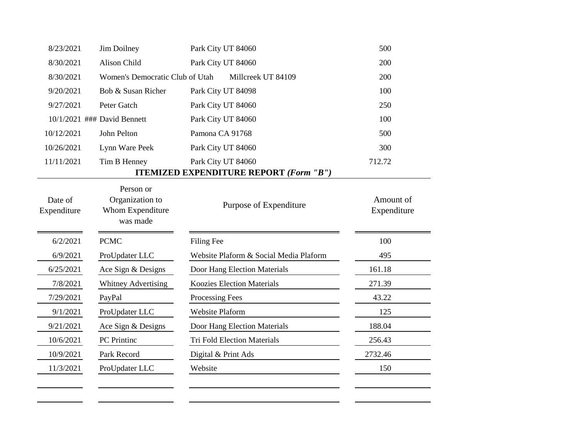| 8/23/2021              | Jim Doilney                                                  | Park City UT 84060                              | 500                      |
|------------------------|--------------------------------------------------------------|-------------------------------------------------|--------------------------|
| 8/30/2021              | Alison Child                                                 | Park City UT 84060                              | 200                      |
| 8/30/2021              | Women's Democratic Club of Utah                              | Millcreek UT 84109                              | 200                      |
| 9/20/2021              | Bob & Susan Richer                                           | Park City UT 84098                              | 100                      |
| 9/27/2021              | Peter Gatch                                                  | Park City UT 84060                              | 250                      |
|                        | 10/1/2021 ### David Bennett                                  | Park City UT 84060                              | 100                      |
| 10/12/2021             | John Pelton                                                  | Pamona CA 91768                                 | 500                      |
| 10/26/2021             | Lynn Ware Peek                                               | Park City UT 84060                              | 300                      |
| 11/11/2021             | Tim B Henney                                                 | Park City UT 84060                              | 712.72                   |
|                        |                                                              | <b>ITEMIZED EXPENDITURE REPORT (Form ''B'')</b> |                          |
| Date of<br>Expenditure | Person or<br>Organization to<br>Whom Expenditure<br>was made | Purpose of Expenditure                          | Amount of<br>Expenditure |
|                        |                                                              |                                                 |                          |
| 6/2/2021               | <b>PCMC</b>                                                  | Filing Fee                                      | 100                      |
| 6/9/2021               | ProUpdater LLC                                               | Website Plaform & Social Media Plaform          | 495                      |
| 6/25/2021              | Ace Sign & Designs                                           | Door Hang Election Materials                    | 161.18                   |
| 7/8/2021               | Whitney Advertising                                          | <b>Koozies Election Materials</b>               | 271.39                   |
| 7/29/2021              | PayPal                                                       | Processing Fees                                 | 43.22                    |
| 9/1/2021               | ProUpdater LLC                                               | Website Plaform                                 | 125                      |
| 9/21/2021              | Ace Sign & Designs                                           | Door Hang Election Materials                    | 188.04                   |
| 10/6/2021              | PC Printinc                                                  | <b>Tri Fold Election Materials</b>              | 256.43                   |
| 10/9/2021              | Park Record                                                  | Digital & Print Ads                             | 2732.46                  |